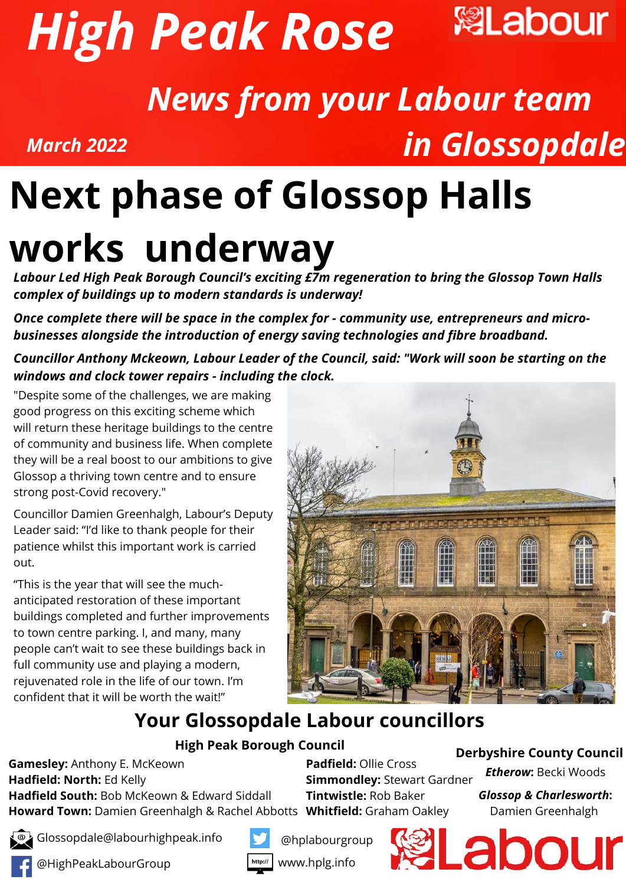



# *News from your Labour team in Glossopdale*

## *Investing in Buxton town centre* **Next phase of Glossop Halls works underway**

*Labour Led High Peak Borough Council's exciting £7m regeneration to bring the Glossop Town Halls complex of buildings up to modern standards is underway!*

*Once complete there will be space in the complex for - community use, entrepreneurs and microbusinesses alongside the introduction of energy saving technologies and fibre broadband.*

*Councillor Anthony Mckeown, Labour Leader of the Council, said: "Work will soon be starting on the windows and clock tower repairs - including the clock.*

"Despite some of the challenges, we are making good progress on this exciting scheme which will return these heritage buildings to the centre of community and business life. When complete they will be a real boost to our ambitions to give Glossop a thriving town centre and to ensure strong post-Covid recovery."

*March 2022*

Councillor Damien Greenhalgh, Labour's Deputy Leader said: "I'd like to thank people for their patience whilst this important work is carried out.

"This is the year that will see the muchanticipated restoration of these important buildings completed and further improvements to town centre parking. I, and many, many people can't wait to see these buildings back in full community use and playing a modern, rejuvenated role in the life of our town. I'm confident that it will be worth the wait!"



### **Your Glossopdale Labour councillors**

#### **High Peak Borough Council**

**Gamesley:** Anthony E. McKeown **Hadfield: North:** Ed Kelly **Hadfield South:** Bob McKeown & Edward Siddall **Howard Town:** Damien Greenhalgh & Rachel Abbotts **Whitfield:** Graham Oakley

**Padfield:** Ollie Cross **Simmondley:** Stewart Gardner **Tintwistle:** Rob Baker

**Derbyshire County Council**

*Etherow***:** Becki Woods

*Glossop & Charlesworth***:** Damien Greenhalgh

Glossopdale@labourhighpeak.info



@HighPeakLabourGroup



@hplabourgroup



 $http://$ www.hplg.info